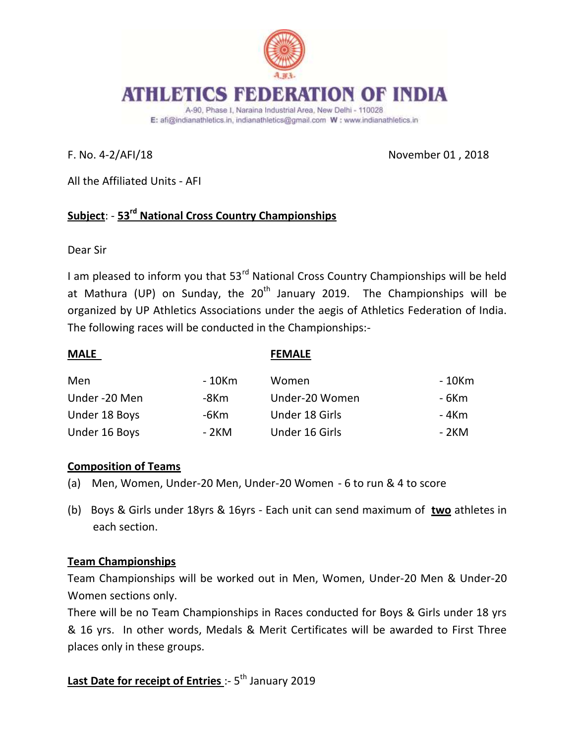

A-90, Phase I, Naraina Industrial Area, New Delhi - 110028 E: afi@indianathletics.in, indianathletics@gmail.com W: www.indianathletics.in

F. No. 4-2/AFI/18 November 01 , 2018

All the Affiliated Units - AFI

# **Subject**: - **53rd National Cross Country Championships**

Dear Sir

I am pleased to inform you that 53<sup>rd</sup> National Cross Country Championships will be held at Mathura (UP) on Sunday, the  $20<sup>th</sup>$  January 2019. The Championships will be organized by UP Athletics Associations under the aegis of Athletics Federation of India. The following races will be conducted in the Championships:-

| <b>MALE</b>   |        | <b>FEMALE</b>  |        |
|---------------|--------|----------------|--------|
| Men           | - 10Km | Women          | - 10Km |
| Under -20 Men | -8Km   | Under-20 Women | - 6Km  |
| Under 18 Boys | -6Km   | Under 18 Girls | - 4Km  |
| Under 16 Boys | - 2KM  | Under 16 Girls | - 2KM  |

### **Composition of Teams**

- (a) Men, Women, Under-20 Men, Under-20 Women 6 to run & 4 to score
- (b) Boys & Girls under 18yrs & 16yrs Each unit can send maximum of **two** athletes in each section.

# **Team Championships**

Team Championships will be worked out in Men, Women, Under-20 Men & Under-20 Women sections only.

There will be no Team Championships in Races conducted for Boys & Girls under 18 yrs & 16 yrs. In other words, Medals & Merit Certificates will be awarded to First Three places only in these groups.

# **Last Date for receipt of Entries** :- 5<sup>th</sup> January 2019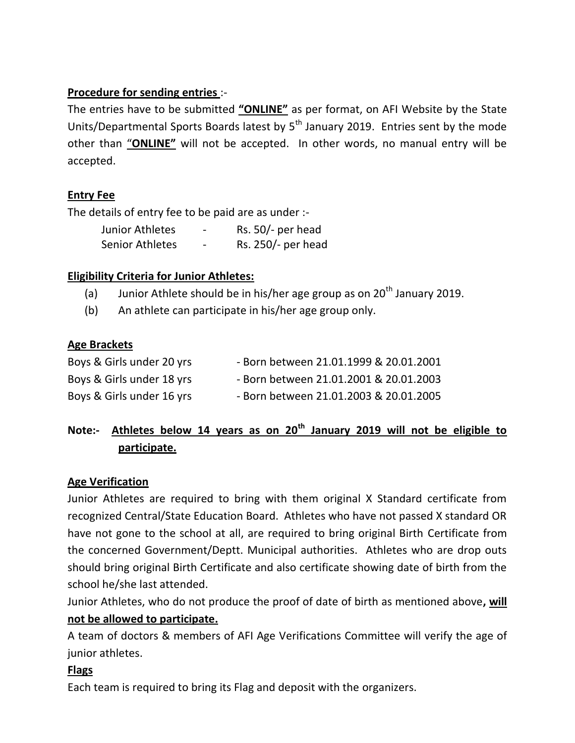## **Procedure for sending entries** :-

The entries have to be submitted **"ONLINE"** as per format, on AFI Website by the State Units/Departmental Sports Boards latest by  $5<sup>th</sup>$  January 2019. Entries sent by the mode other than "**ONLINE"** will not be accepted. In other words, no manual entry will be accepted.

# **Entry Fee**

The details of entry fee to be paid are as under :-

| Junior Athletes | - | Rs. $50/-$ per head |
|-----------------|---|---------------------|
| Senior Athletes | - | Rs. 250/- per head  |

## **Eligibility Criteria for Junior Athletes:**

- (a) Junior Athlete should be in his/her age group as on  $20<sup>th</sup>$  January 2019.
- (b) An athlete can participate in his/her age group only.

## **Age Brackets**

| Boys & Girls under 20 yrs | - Born between 21.01.1999 & 20.01.2001 |
|---------------------------|----------------------------------------|
| Boys & Girls under 18 yrs | - Born between 21.01.2001 & 20.01.2003 |
| Boys & Girls under 16 yrs | - Born between 21.01.2003 & 20.01.2005 |

# **Note:- Athletes below 14 years as on 20th January 2019 will not be eligible to participate.**

### **Age Verification**

Junior Athletes are required to bring with them original X Standard certificate from recognized Central/State Education Board. Athletes who have not passed X standard OR have not gone to the school at all, are required to bring original Birth Certificate from the concerned Government/Deptt. Municipal authorities. Athletes who are drop outs should bring original Birth Certificate and also certificate showing date of birth from the school he/she last attended.

Junior Athletes, who do not produce the proof of date of birth as mentioned above**, will not be allowed to participate.**

A team of doctors & members of AFI Age Verifications Committee will verify the age of junior athletes.

### **Flags**

Each team is required to bring its Flag and deposit with the organizers.